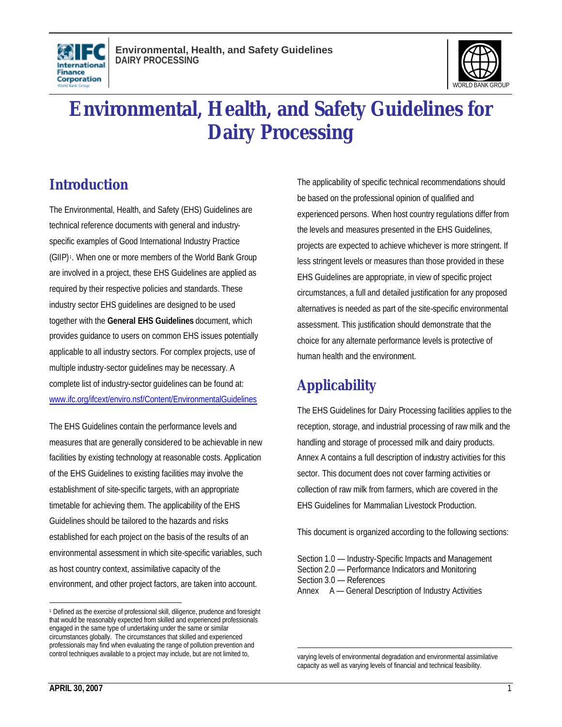



# **Environmental, Health, and Safety Guidelines for Dairy Processing**

# **Introduction**

The Environmental, Health, and Safety (EHS) Guidelines are technical reference documents with general and industryspecific examples of Good International Industry Practice (GIIP)<sup>1</sup>. When one or more members of the World Bank Group are involved in a project, these EHS Guidelines are applied as required by their respective policies and standards. These industry sector EHS guidelines are designed to be used together with the **General EHS Guidelines** document, which provides guidance to users on common EHS issues potentially applicable to all industry sectors. For complex projects, use of multiple industry-sector guidelines may be necessary. A complete list of industry-sector guidelines can be found at: www.ifc.org/ifcext/enviro.nsf/Content/EnvironmentalGuidelines

The EHS Guidelines contain the performance levels and measures that are generally considered to be achievable in new facilities by existing technology at reasonable costs. Application of the EHS Guidelines to existing facilities may involve the establishment of site-specific targets, with an appropriate timetable for achieving them. The applicability of the EHS Guidelines should be tailored to the hazards and risks established for each project on the basis of the results of an environmental assessment in which site-specific variables, such as host country context, assimilative capacity of the environment, and other project factors, are taken into account.

The applicability of specific technical recommendations should be based on the professional opinion of qualified and experienced persons. When host country regulations differ from the levels and measures presented in the EHS Guidelines, projects are expected to achieve whichever is more stringent. If less stringent levels or measures than those provided in these EHS Guidelines are appropriate, in view of specific project circumstances, a full and detailed justification for any proposed alternatives is needed as part of the site-specific environmental assessment. This justification should demonstrate that the choice for any alternate performance levels is protective of human health and the environment.

# **Applicability**

The EHS Guidelines for Dairy Processing facilities applies to the reception, storage, and industrial processing of raw milk and the handling and storage of processed milk and dairy products. Annex A contains a full description of industry activities for this sector. This document does not cover farming activities or collection of raw milk from farmers, which are covered in the EHS Guidelines for Mammalian Livestock Production.

This document is organized according to the following sections:

Section 1.0 — Industry-Specific Impacts and Management Section 2.0 — Performance Indicators and Monitoring Section 3.0 — References Annex A — General Description of Industry Activities

 $\overline{a}$ varying levels of environmental degradation and environmental assimilative capacity as well as varying levels of financial and technical feasibility.

 $\overline{a}$ <sup>1</sup> Defined as the exercise of professional skill, diligence, prudence and foresight that would be reasonably expected from skilled and experienced professionals engaged in the same type of undertaking under the same or similar circumstances globally. The circumstances that skilled and experienced professionals may find when evaluating the range of pollution prevention and control techniques available to a project may include, but are not limited to,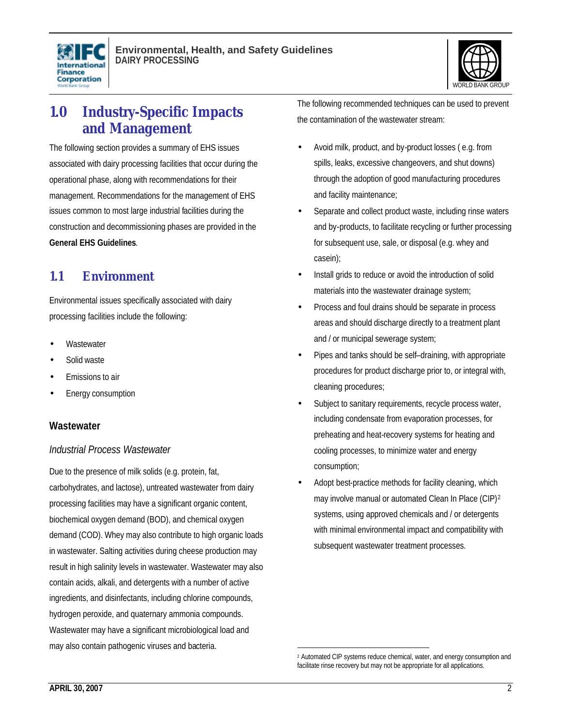



# **1.0 Industry-Specific Impacts and Management**

The following section provides a summary of EHS issues associated with dairy processing facilities that occur during the operational phase, along with recommendations for their management. Recommendations for the management of EHS issues common to most large industrial facilities during the construction and decommissioning phases are provided in the **General EHS Guidelines**.

### **1.1 Environment**

Environmental issues specifically associated with dairy processing facilities include the following:

- **Wastewater**
- Solid waste
- Emissions to air
- Energy consumption

#### **Wastewater**

#### *Industrial Process Wastewater*

Due to the presence of milk solids (e.g. protein, fat, carbohydrates, and lactose), untreated wastewater from dairy processing facilities may have a significant organic content, biochemical oxygen demand (BOD), and chemical oxygen demand (COD). Whey may also contribute to high organic loads in wastewater. Salting activities during cheese production may result in high salinity levels in wastewater. Wastewater may also contain acids, alkali, and detergents with a number of active ingredients, and disinfectants, including chlorine compounds, hydrogen peroxide, and quaternary ammonia compounds. Wastewater may have a significant microbiological load and may also contain pathogenic viruses and bacteria.

The following recommended techniques can be used to prevent the contamination of the wastewater stream:

- Avoid milk, product, and by-product losses ( e.g. from spills, leaks, excessive changeovers, and shut downs) through the adoption of good manufacturing procedures and facility maintenance;
- Separate and collect product waste, including rinse waters and by-products, to facilitate recycling or further processing for subsequent use, sale, or disposal (e.g. whey and casein);
- Install grids to reduce or avoid the introduction of solid materials into the wastewater drainage system;
- Process and foul drains should be separate in process areas and should discharge directly to a treatment plant and / or municipal sewerage system;
- Pipes and tanks should be self–draining, with appropriate procedures for product discharge prior to, or integral with, cleaning procedures;
- Subject to sanitary requirements, recycle process water, including condensate from evaporation processes, for preheating and heat-recovery systems for heating and cooling processes, to minimize water and energy consumption;
- Adopt best-practice methods for facility cleaning, which may involve manual or automated Clean In Place (CIP)<sup>2</sup> systems, using approved chemicals and / or detergents with minimal environmental impact and compatibility with subsequent wastewater treatment processes.

<sup>1</sup> 2 Automated CIP systems reduce chemical, water, and energy consumption and facilitate rinse recovery but may not be appropriate for all applications.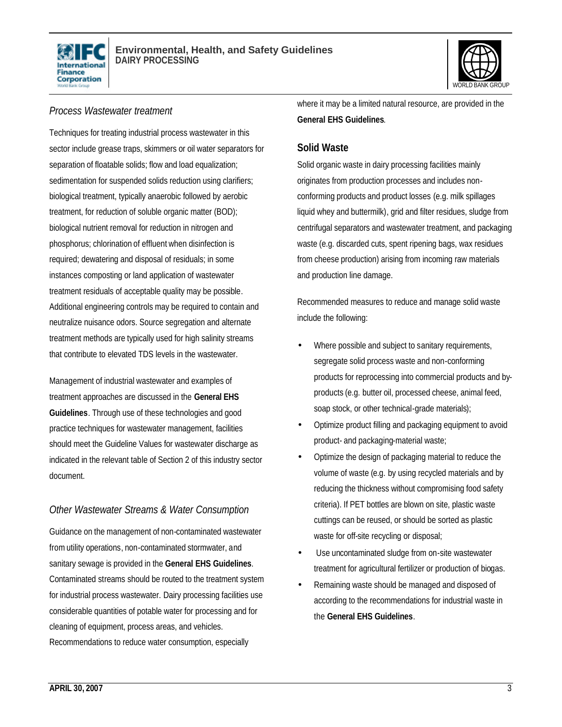



### *Process Wastewater treatment*

Techniques for treating industrial process wastewater in this sector include grease traps, skimmers or oil water separators for separation of floatable solids; flow and load equalization; sedimentation for suspended solids reduction using clarifiers; biological treatment, typically anaerobic followed by aerobic treatment, for reduction of soluble organic matter (BOD); biological nutrient removal for reduction in nitrogen and phosphorus; chlorination of effluent when disinfection is required; dewatering and disposal of residuals; in some instances composting or land application of wastewater treatment residuals of acceptable quality may be possible. Additional engineering controls may be required to contain and neutralize nuisance odors. Source segregation and alternate treatment methods are typically used for high salinity streams that contribute to elevated TDS levels in the wastewater.

Management of industrial wastewater and examples of treatment approaches are discussed in the **General EHS Guidelines**. Through use of these technologies and good practice techniques for wastewater management, facilities should meet the Guideline Values for wastewater discharge as indicated in the relevant table of Section 2 of this industry sector document.

### *Other Wastewater Streams & Water Consumption*

Guidance on the management of non-contaminated wastewater from utility operations, non-contaminated stormwater, and sanitary sewage is provided in the **General EHS Guidelines**. Contaminated streams should be routed to the treatment system for industrial process wastewater. Dairy processing facilities use considerable quantities of potable water for processing and for cleaning of equipment, process areas, and vehicles. Recommendations to reduce water consumption, especially

where it may be a limited natural resource, are provided in the **General EHS Guidelines**.

### **Solid Waste**

Solid organic waste in dairy processing facilities mainly originates from production processes and includes nonconforming products and product losses (e.g. milk spillages liquid whey and buttermilk), grid and filter residues, sludge from centrifugal separators and wastewater treatment, and packaging waste (e.g. discarded cuts, spent ripening bags, wax residues from cheese production) arising from incoming raw materials and production line damage.

Recommended measures to reduce and manage solid waste include the following:

- Where possible and subject to sanitary requirements, segregate solid process waste and non-conforming products for reprocessing into commercial products and byproducts (e.g. butter oil, processed cheese, animal feed, soap stock, or other technical-grade materials);
- Optimize product filling and packaging equipment to avoid product- and packaging-material waste;
- Optimize the design of packaging material to reduce the volume of waste (e.g. by using recycled materials and by reducing the thickness without compromising food safety criteria). If PET bottles are blown on site, plastic waste cuttings can be reused, or should be sorted as plastic waste for off-site recycling or disposal;
- Use uncontaminated sludge from on-site wastewater treatment for agricultural fertilizer or production of biogas.
- Remaining waste should be managed and disposed of according to the recommendations for industrial waste in the **General EHS Guidelines**.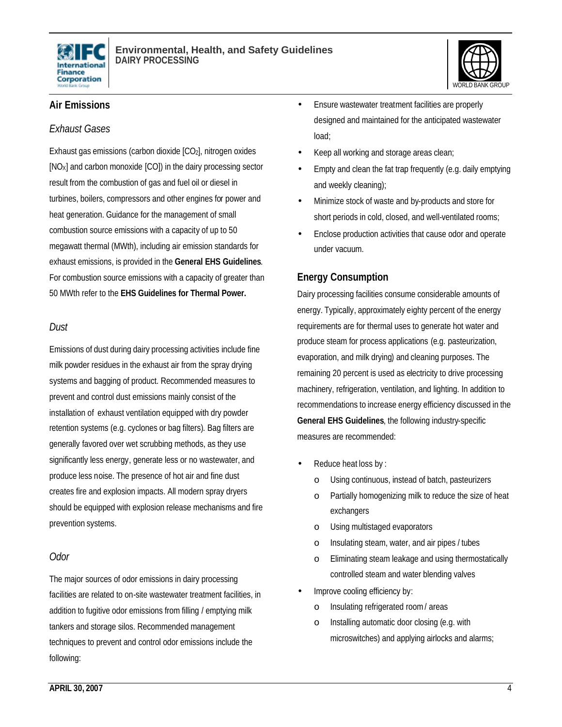



### **Air Emissions**

### *Exhaust Gases*

Exhaust gas emissions (carbon dioxide [CO2], nitrogen oxides [NOX] and carbon monoxide [CO]) in the dairy processing sector result from the combustion of gas and fuel oil or diesel in turbines, boilers, compressors and other engines for power and heat generation. Guidance for the management of small combustion source emissions with a capacity of up to 50 megawatt thermal (MWth), including air emission standards for exhaust emissions, is provided in the **General EHS Guidelines**. For combustion source emissions with a capacity of greater than 50 MWth refer to the **EHS Guidelines for Thermal Power.**

### *Dust*

Emissions of dust during dairy processing activities include fine milk powder residues in the exhaust air from the spray drying systems and bagging of product. Recommended measures to prevent and control dust emissions mainly consist of the installation of exhaust ventilation equipped with dry powder retention systems (e.g. cyclones or bag filters). Bag filters are generally favored over wet scrubbing methods, as they use significantly less energy, generate less or no wastewater, and produce less noise. The presence of hot air and fine dust creates fire and explosion impacts. All modern spray dryers should be equipped with explosion release mechanisms and fire prevention systems.

### *Odor*

The major sources of odor emissions in dairy processing facilities are related to on-site wastewater treatment facilities, in addition to fugitive odor emissions from filling / emptying milk tankers and storage silos. Recommended management techniques to prevent and control odor emissions include the following:

- Ensure wastewater treatment facilities are properly designed and maintained for the anticipated wastewater load;
- Keep all working and storage areas clean;
- Empty and clean the fat trap frequently (e.g. daily emptying and weekly cleaning);
- Minimize stock of waste and by-products and store for short periods in cold, closed, and well-ventilated rooms;
- Enclose production activities that cause odor and operate under vacuum.

### **Energy Consumption**

Dairy processing facilities consume considerable amounts of energy. Typically, approximately eighty percent of the energy requirements are for thermal uses to generate hot water and produce steam for process applications (e.g. pasteurization, evaporation, and milk drying) and cleaning purposes. The remaining 20 percent is used as electricity to drive processing machinery, refrigeration, ventilation, and lighting. In addition to recommendations to increase energy efficiency discussed in the **General EHS Guidelines**, the following industry-specific measures are recommended:

- Reduce heat loss by :
	- o Using continuous, instead of batch, pasteurizers
	- o Partially homogenizing milk to reduce the size of heat exchangers
	- o Using multistaged evaporators
	- o Insulating steam, water, and air pipes / tubes
	- o Eliminating steam leakage and using thermostatically controlled steam and water blending valves
- Improve cooling efficiency by:
	- o Insulating refrigerated room/ areas
	- o Installing automatic door closing (e.g. with microswitches) and applying airlocks and alarms;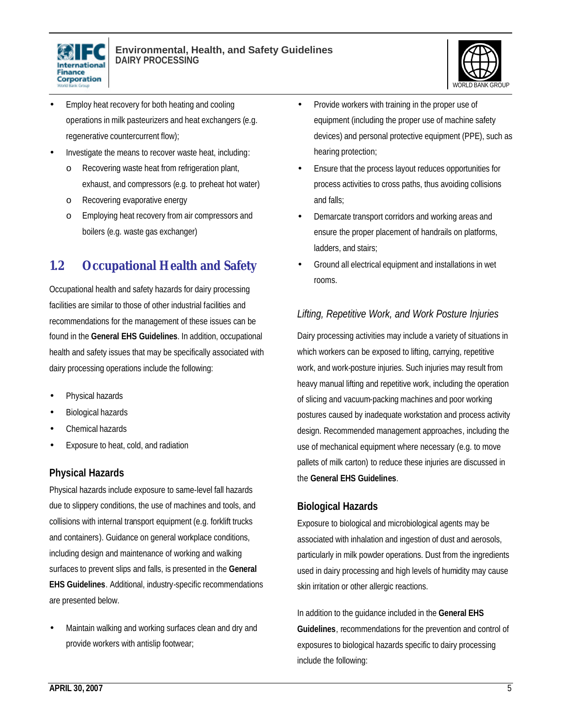



- Employ heat recovery for both heating and cooling operations in milk pasteurizers and heat exchangers (e.g. regenerative countercurrent flow);
- Investigate the means to recover waste heat, including:
	- o Recovering waste heat from refrigeration plant, exhaust, and compressors (e.g. to preheat hot water)
	- o Recovering evaporative energy
	- o Employing heat recovery from air compressors and boilers (e.g. waste gas exchanger)

### **1.2 Occupational Health and Safety**

Occupational health and safety hazards for dairy processing facilities are similar to those of other industrial facilities and recommendations for the management of these issues can be found in the **General EHS Guidelines**. In addition, occupational health and safety issues that may be specifically associated with dairy processing operations include the following:

- Physical hazards
- Biological hazards
- Chemical hazards
- Exposure to heat, cold, and radiation

### **Physical Hazards**

Physical hazards include exposure to same-level fall hazards due to slippery conditions, the use of machines and tools, and collisions with internal transport equipment (e.g. forklift trucks and containers). Guidance on general workplace conditions, including design and maintenance of working and walking surfaces to prevent slips and falls, is presented in the **General EHS Guidelines**. Additional, industry-specific recommendations are presented below.

• Maintain walking and working surfaces clean and dry and provide workers with antislip footwear;

- Provide workers with training in the proper use of equipment (including the proper use of machine safety devices) and personal protective equipment (PPE), such as hearing protection;
- Ensure that the process layout reduces opportunities for process activities to cross paths, thus avoiding collisions and falls;
- Demarcate transport corridors and working areas and ensure the proper placement of handrails on platforms, ladders, and stairs;
- Ground all electrical equipment and installations in wet rooms.

### *Lifting, Repetitive Work, and Work Posture Injuries*

Dairy processing activities may include a variety of situations in which workers can be exposed to lifting, carrying, repetitive work, and work-posture injuries. Such injuries may result from heavy manual lifting and repetitive work, including the operation of slicing and vacuum-packing machines and poor working postures caused by inadequate workstation and process activity design. Recommended management approaches, including the use of mechanical equipment where necessary (e.g. to move pallets of milk carton) to reduce these injuries are discussed in the **General EHS Guidelines**.

### **Biological Hazards**

Exposure to biological and microbiological agents may be associated with inhalation and ingestion of dust and aerosols, particularly in milk powder operations. Dust from the ingredients used in dairy processing and high levels of humidity may cause skin irritation or other allergic reactions.

In addition to the guidance included in the **General EHS Guidelines**, recommendations for the prevention and control of exposures to biological hazards specific to dairy processing include the following: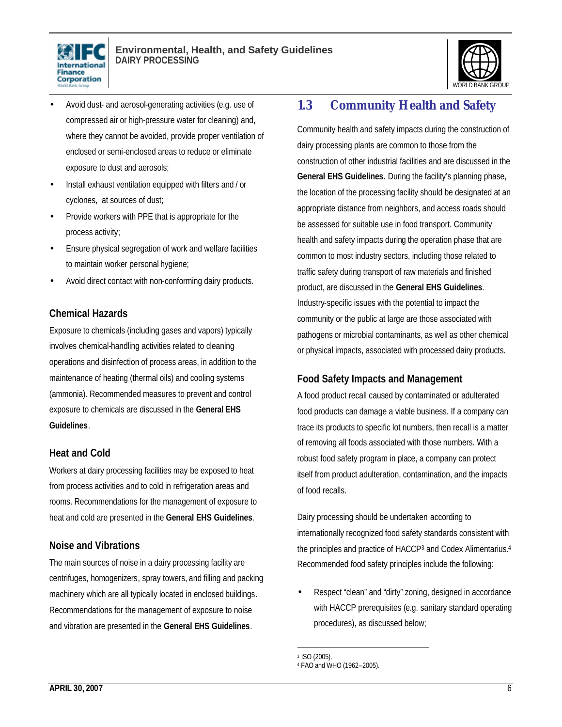



- Avoid dust- and aerosol-generating activities (e.g. use of compressed air or high-pressure water for cleaning) and, where they cannot be avoided, provide proper ventilation of enclosed or semi-enclosed areas to reduce or eliminate exposure to dust and aerosols;
- Install exhaust ventilation equipped with filters and / or cyclones, at sources of dust;
- Provide workers with PPE that is appropriate for the process activity;
- Ensure physical segregation of work and welfare facilities to maintain worker personal hygiene;
- Avoid direct contact with non-conforming dairy products.

### **Chemical Hazards**

Exposure to chemicals (including gases and vapors) typically involves chemical-handling activities related to cleaning operations and disinfection of process areas, in addition to the maintenance of heating (thermal oils) and cooling systems (ammonia). Recommended measures to prevent and control exposure to chemicals are discussed in the **General EHS Guidelines**.

### **Heat and Cold**

Workers at dairy processing facilities may be exposed to heat from process activities and to cold in refrigeration areas and rooms. Recommendations for the management of exposure to heat and cold are presented in the **General EHS Guidelines**.

#### **Noise and Vibrations**

The main sources of noise in a dairy processing facility are centrifuges, homogenizers, spray towers, and filling and packing machinery which are all typically located in enclosed buildings. Recommendations for the management of exposure to noise and vibration are presented in the **General EHS Guidelines**.

### **1.3 Community Health and Safety**

Community health and safety impacts during the construction of dairy processing plants are common to those from the construction of other industrial facilities and are discussed in the **General EHS Guidelines.** During the facility's planning phase, the location of the processing facility should be designated at an appropriate distance from neighbors, and access roads should be assessed for suitable use in food transport. Community health and safety impacts during the operation phase that are common to most industry sectors, including those related to traffic safety during transport of raw materials and finished product, are discussed in the **General EHS Guidelines**. Industry-specific issues with the potential to impact the community or the public at large are those associated with pathogens or microbial contaminants, as well as other chemical or physical impacts, associated with processed dairy products.

### **Food Safety Impacts and Management**

A food product recall caused by contaminated or adulterated food products can damage a viable business. If a company can trace its products to specific lot numbers, then recall is a matter of removing all foods associated with those numbers. With a robust food safety program in place, a company can protect itself from product adulteration, contamination, and the impacts of food recalls.

Dairy processing should be undertaken according to internationally recognized food safety standards consistent with the principles and practice of HACCP<sup>3</sup> and Codex Alimentarius.<sup>4</sup> Recommended food safety principles include the following:

• Respect "clean" and "dirty" zoning, designed in accordance with HACCP prerequisites (e.g. sanitary standard operating procedures), as discussed below;

<sup>1</sup> 3 ISO (2005).

<sup>4</sup> FAO and WHO (1962–2005).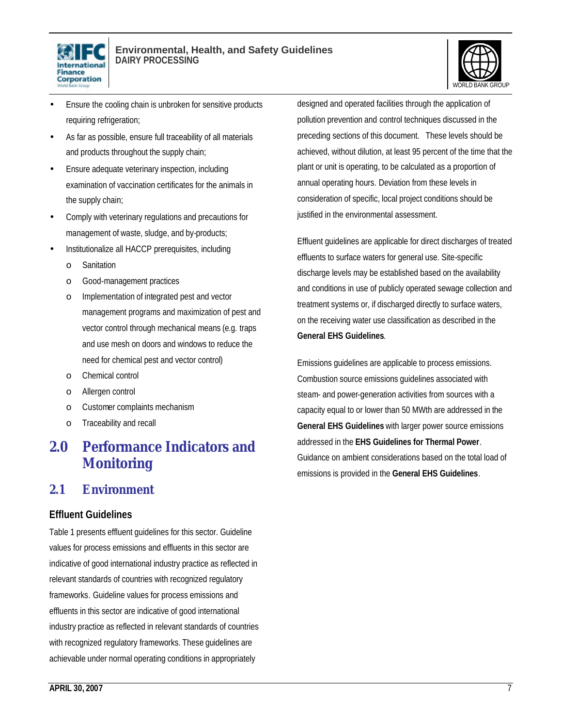



- Ensure the cooling chain is unbroken for sensitive products requiring refrigeration;
- As far as possible, ensure full traceability of all materials and products throughout the supply chain;
- Ensure adequate veterinary inspection, including examination of vaccination certificates for the animals in the supply chain;
- Comply with veterinary regulations and precautions for management of waste, sludge, and by-products;
- Institutionalize all HACCP prerequisites, including
	- o Sanitation
	- o Good-management practices
	- o Implementation of integrated pest and vector management programs and maximization of pest and vector control through mechanical means (e.g. traps and use mesh on doors and windows to reduce the need for chemical pest and vector control)
	- o Chemical control
	- o Allergen control
	- o Customer complaints mechanism
	- o Traceability and recall

# **2.0 Performance Indicators and Monitoring**

### **2.1 Environment**

### **Effluent Guidelines**

Table 1 presents effluent guidelines for this sector. Guideline values for process emissions and effluents in this sector are indicative of good international industry practice as reflected in relevant standards of countries with recognized regulatory frameworks. Guideline values for process emissions and effluents in this sector are indicative of good international industry practice as reflected in relevant standards of countries with recognized regulatory frameworks. These guidelines are achievable under normal operating conditions in appropriately

designed and operated facilities through the application of pollution prevention and control techniques discussed in the preceding sections of this document. These levels should be achieved, without dilution, at least 95 percent of the time that the plant or unit is operating, to be calculated as a proportion of annual operating hours. Deviation from these levels in consideration of specific, local project conditions should be justified in the environmental assessment.

Effluent guidelines are applicable for direct discharges of treated effluents to surface waters for general use. Site-specific discharge levels may be established based on the availability and conditions in use of publicly operated sewage collection and treatment systems or, if discharged directly to surface waters, on the receiving water use classification as described in the **General EHS Guidelines**.

Emissions guidelines are applicable to process emissions. Combustion source emissions guidelines associated with steam- and power-generation activities from sources with a capacity equal to or lower than 50 MWth are addressed in the **General EHS Guidelines** with larger power source emissions addressed in the **EHS Guidelines for Thermal Power**. Guidance on ambient considerations based on the total load of emissions is provided in the **General EHS Guidelines**.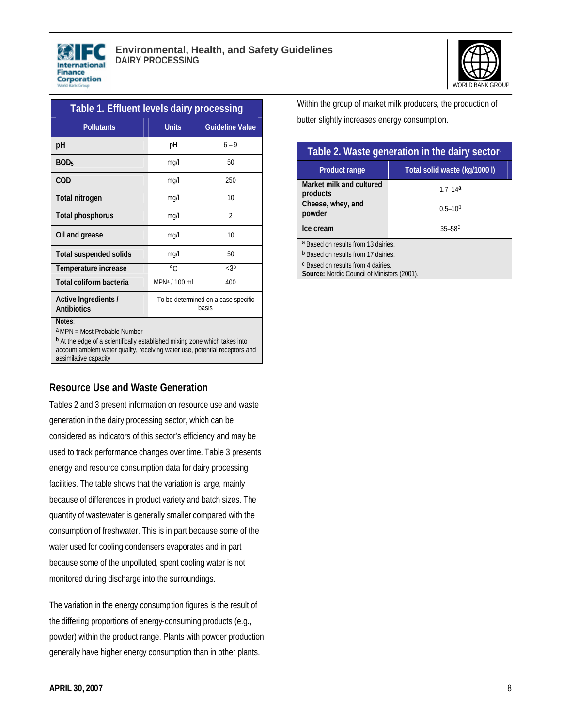



| Table 1. Effluent levels dairy processing                                                                                              |                                              |                        |  |  |  |  |  |  |
|----------------------------------------------------------------------------------------------------------------------------------------|----------------------------------------------|------------------------|--|--|--|--|--|--|
| <b>Pollutants</b>                                                                                                                      | <b>Units</b>                                 | <b>Guideline Value</b> |  |  |  |  |  |  |
| pH                                                                                                                                     | рH                                           | $6 - 9$                |  |  |  |  |  |  |
| BOD <sub>5</sub>                                                                                                                       | mq/l                                         | 50                     |  |  |  |  |  |  |
| COD                                                                                                                                    | mg/l                                         | 250                    |  |  |  |  |  |  |
| <b>Total nitrogen</b>                                                                                                                  | mq/l                                         | 10                     |  |  |  |  |  |  |
| <b>Total phosphorus</b>                                                                                                                | mg/l                                         | $\mathfrak{D}$         |  |  |  |  |  |  |
| Oil and grease                                                                                                                         | mg/l                                         | 10                     |  |  |  |  |  |  |
| <b>Total suspended solids</b>                                                                                                          | mg/l                                         | 50                     |  |  |  |  |  |  |
| Temperature increase                                                                                                                   | $\circ$ C                                    | <3b                    |  |  |  |  |  |  |
| <b>Total coliform bacteria</b>                                                                                                         | MPN <sup>a</sup> / 100 ml                    | 400                    |  |  |  |  |  |  |
| Active Ingredients /<br><b>Antibiotics</b>                                                                                             | To be determined on a case specific<br>basis |                        |  |  |  |  |  |  |
| Notes:<br><sup>a</sup> MPN = Most Probable Number<br><b>b</b> At the edge of a scientifically established mixing zone which takes into |                                              |                        |  |  |  |  |  |  |

**<sup>b</sup>**At the edge of a scientifically established mixing zone which takes into account ambient water quality, receiving water use, potential receptors and assimilative capacity

### **Resource Use and Waste Generation**

Tables 2 and 3 present information on resource use and waste generation in the dairy processing sector, which can be considered as indicators of this sector's efficiency and may be used to track performance changes over time. Table 3 presents energy and resource consumption data for dairy processing facilities. The table shows that the variation is large, mainly because of differences in product variety and batch sizes. The quantity of wastewater is generally smaller compared with the consumption of freshwater. This is in part because some of the water used for cooling condensers evaporates and in part because some of the unpolluted, spent cooling water is not monitored during discharge into the surroundings.

The variation in the energy consumption figures is the result of the differing proportions of energy-consuming products (e.g., powder) within the product range. Plants with powder production generally have higher energy consumption than in other plants.

Within the group of market milk producers, the production of butter slightly increases energy consumption.

| Table 2. Waste generation in the dairy sector-     |                               |  |  |  |  |  |
|----------------------------------------------------|-------------------------------|--|--|--|--|--|
| <b>Product range</b>                               | Total solid waste (kg/1000 l) |  |  |  |  |  |
| Market milk and cultured<br>products               | $1.7 - 14a$                   |  |  |  |  |  |
| Cheese, whey, and<br>powder                        | $0.5 - 10^{b}$                |  |  |  |  |  |
| Ice cream                                          | $35 - 58$                     |  |  |  |  |  |
| <sup>a</sup> Based on results from 13 dairies.     |                               |  |  |  |  |  |
| <sup>b</sup> Based on results from 17 dairies.     |                               |  |  |  |  |  |
| <sup>c</sup> Based on results from 4 dairies.      |                               |  |  |  |  |  |
| <b>Source: Nordic Council of Ministers (2001).</b> |                               |  |  |  |  |  |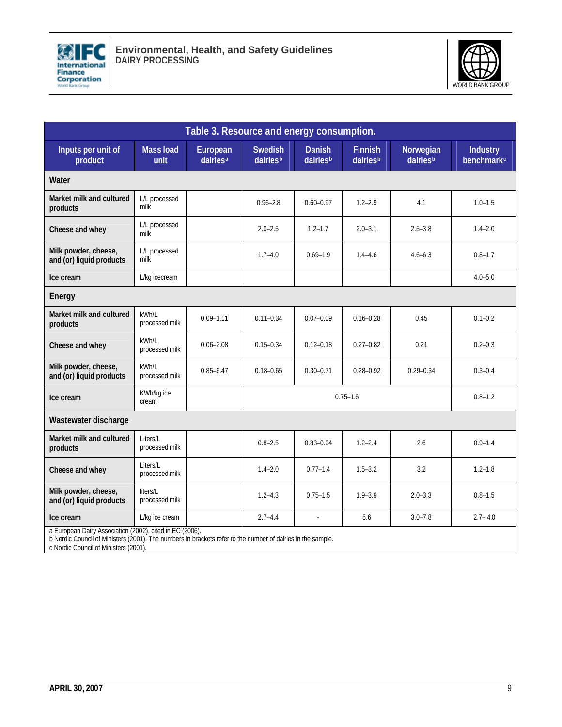



| Table 3. Resource and energy consumption.                                                                                                                                                                        |                            |                                  |                            |                           |                            |                       |                                           |  |  |
|------------------------------------------------------------------------------------------------------------------------------------------------------------------------------------------------------------------|----------------------------|----------------------------------|----------------------------|---------------------------|----------------------------|-----------------------|-------------------------------------------|--|--|
| Inputs per unit of<br>product                                                                                                                                                                                    | <b>Mass load</b><br>unit   | European<br>dairies <sup>a</sup> | <b>Swedish</b><br>dairiesb | <b>Danish</b><br>dairiesb | <b>Finnish</b><br>dairiesb | Norwegian<br>dairiesb | <b>Industry</b><br>benchmark <sup>c</sup> |  |  |
| Water                                                                                                                                                                                                            |                            |                                  |                            |                           |                            |                       |                                           |  |  |
| Market milk and cultured<br>products                                                                                                                                                                             | L/L processed<br>milk      |                                  | $0.96 - 2.8$               | $0.60 - 0.97$             | $1.2 - 2.9$                | 4.1                   | $1.0 - 1.5$                               |  |  |
| Cheese and whey                                                                                                                                                                                                  | L/L processed<br>milk      |                                  | $2.0 - 2.5$                | $1.2 - 1.7$               | $2.0 - 3.1$                | $2.5 - 3.8$           | $1.4 - 2.0$                               |  |  |
| Milk powder, cheese,<br>and (or) liquid products                                                                                                                                                                 | L/L processed<br>milk      |                                  | $1.7 - 4.0$                | $0.69 - 1.9$              | $1.4 - 4.6$                | $4.6 - 6.3$           | $0.8 - 1.7$                               |  |  |
| Ice cream                                                                                                                                                                                                        | L/kg icecream              |                                  |                            |                           |                            |                       | $4.0 - 5.0$                               |  |  |
| Energy                                                                                                                                                                                                           |                            |                                  |                            |                           |                            |                       |                                           |  |  |
| Market milk and cultured<br>products                                                                                                                                                                             | kWh/L<br>processed milk    | $0.09 - 1.11$                    | $0.11 - 0.34$              | $0.07 - 0.09$             | $0.16 - 0.28$              | 0.45                  | $0.1 - 0.2$                               |  |  |
| Cheese and whey                                                                                                                                                                                                  | kWh/L<br>processed milk    | $0.06 - 2.08$                    | $0.15 - 0.34$              | $0.12 - 0.18$             | $0.27 - 0.82$              | 0.21                  | $0.2 - 0.3$                               |  |  |
| Milk powder, cheese,<br>and (or) liquid products                                                                                                                                                                 | kWh/L<br>processed milk    | $0.85 - 6.47$                    | $0.18 - 0.65$              | $0.30 - 0.71$             | $0.28 - 0.92$              | $0.29 - 0.34$         | $0.3 - 0.4$                               |  |  |
| Ice cream                                                                                                                                                                                                        | KWh/kg ice<br>cream        |                                  | $0.75 - 1.6$               |                           |                            |                       | $0.8 - 1.2$                               |  |  |
| Wastewater discharge                                                                                                                                                                                             |                            |                                  |                            |                           |                            |                       |                                           |  |  |
| Market milk and cultured<br>products                                                                                                                                                                             | Liters/L<br>processed milk |                                  | $0.8 - 2.5$                | $0.83 - 0.94$             | $1.2 - 2.4$                | 2.6                   | $0.9 - 1.4$                               |  |  |
| Cheese and whey                                                                                                                                                                                                  | Liters/L<br>processed milk |                                  | $1.4 - 2.0$                | $0.77 - 1.4$              | $1.5 - 3.2$                | 3.2                   | $1.2 - 1.8$                               |  |  |
| Milk powder, cheese,<br>and (or) liquid products                                                                                                                                                                 | liters/L<br>processed milk |                                  | $1.2 - 4.3$                | $0.75 - 1.5$              | $1.9 - 3.9$                | $2.0 - 3.3$           | $0.8 - 1.5$                               |  |  |
| Ice cream                                                                                                                                                                                                        | L/kg ice cream             |                                  | $2.7 - 4.4$                | $\overline{a}$            | 5.6                        | $3.0 - 7.8$           | $2.7 - 4.0$                               |  |  |
| a European Dairy Association (2002), cited in EC (2006).<br>b Nordic Council of Ministers (2001). The numbers in brackets refer to the number of dairies in the sample.<br>c Nordic Council of Ministers (2001). |                            |                                  |                            |                           |                            |                       |                                           |  |  |

c Nordic Council of Ministers (2001).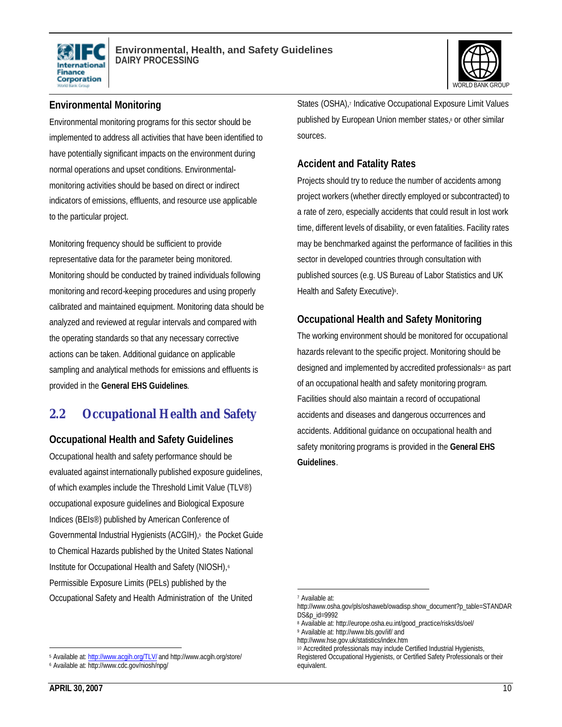



### **Environmental Monitoring**

Environmental monitoring programs for this sector should be implemented to address all activities that have been identified to have potentially significant impacts on the environment during normal operations and upset conditions. Environmentalmonitoring activities should be based on direct or indirect indicators of emissions, effluents, and resource use applicable to the particular project.

Monitoring frequency should be sufficient to provide representative data for the parameter being monitored. Monitoring should be conducted by trained individuals following monitoring and record-keeping procedures and using properly calibrated and maintained equipment. Monitoring data should be analyzed and reviewed at regular intervals and compared with the operating standards so that any necessary corrective actions can be taken. Additional guidance on applicable sampling and analytical methods for emissions and effluents is provided in the **General EHS Guidelines**.

### **2.2 Occupational Health and Safety**

### **Occupational Health and Safety Guidelines**

Occupational health and safety performance should be evaluated against internationally published exposure guidelines, of which examples include the Threshold Limit Value (TLV®) occupational exposure guidelines and Biological Exposure Indices (BEIs®) published by American Conference of Governmental Industrial Hygienists (ACGIH),<sup>5</sup> the Pocket Guide to Chemical Hazards published by the United States National Institute for Occupational Health and Safety (NIOSH),<sup>6</sup> Permissible Exposure Limits (PELs) published by the Occupational Safety and Health Administration of the United

 $\overline{a}$ <sup>5</sup> Available at: http://www.acgih.org/TLV/ and http://www.acgih.org/store/

States (OSHA),<sup>7</sup> Indicative Occupational Exposure Limit Values published by European Union member states,<sup>8</sup> or other similar sources.

### **Accident and Fatality Rates**

Projects should try to reduce the number of accidents among project workers (whether directly employed or subcontracted) to a rate of zero, especially accidents that could result in lost work time, different levels of disability, or even fatalities. Facility rates may be benchmarked against the performance of facilities in this sector in developed countries through consultation with published sources (e.g. US Bureau of Labor Statistics and UK Health and Safety Executive)<sup>9</sup>.

### **Occupational Health and Safety Monitoring**

The working environment should be monitored for occupational hazards relevant to the specific project. Monitoring should be designed and implemented by accredited professionals<sup>10</sup> as part of an occupational health and safety monitoring program. Facilities should also maintain a record of occupational accidents and diseases and dangerous occurrences and accidents. Additional guidance on occupational health and safety monitoring programs is provided in the **General EHS Guidelines**.

 $\overline{a}$ 

<sup>6</sup> Available at: http://www.cdc.gov/niosh/npg/

<sup>7</sup> Available at:

http://www.osha.gov/pls/oshaweb/owadisp.show\_document?p\_table=STANDAR DS&p\_id=9992

<sup>&</sup>lt;sup>8</sup> Available at: http://europe.osha.eu.int/good\_practice/risks/ds/oel/

<sup>9</sup> Available at: http://www.bls.gov/iif/ and

http://www.hse.gov.uk/statistics/index.htm

<sup>&</sup>lt;sup>10</sup> Accredited professionals may include Certified Industrial Hygienists,

Registered Occupational Hygienists, or Certified Safety Professionals or their equivalent.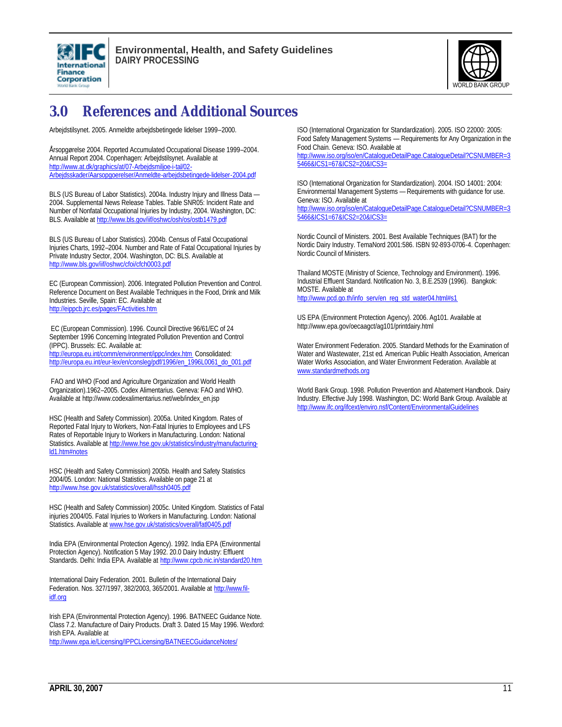



# **3.0 References and Additional Sources**

Arbejdstilsynet. 2005. Anmeldte arbejdsbetingede lidelser 1999–2000.

Årsopgørelse 2004. Reported Accumulated Occupational Disease 1999–2004. Annual Report 2004. Copenhagen: Arbejdstilsynet. Available at http://www.at.dk/graphics/at/07-Arbejdsmiljoe-i-tal/02- Arbejdsskader/Aarsopgoerelser/Anmeldte-arbejdsbetingede-lidelser-2004.pdf

BLS (US Bureau of Labor Statistics). 2004a. Industry Injury and Illness Data — 2004. Supplemental News Release Tables. Table SNR05: Incident Rate and Number of Nonfatal Occupational Injuries by Industry, 2004. Washington, DC: BLS. Available at http://www.bls.gov/iif/oshwc/osh/os/ostb1479.pdf

BLS (US Bureau of Labor Statistics). 2004b. Census of Fatal Occupational Injuries Charts, 1992–2004. Number and Rate of Fatal Occupational Injuries by Private Industry Sector, 2004. Washington, DC: BLS. Available at http://www.bls.gov/iif/oshwc/cfoi/cfch0003.pdf

EC (European Commission). 2006. Integrated Pollution Prevention and Control. Reference Document on Best Available Techniques in the Food, Drink and Milk Industries. Seville, Spain: EC. Available at http://eippcb.jrc.es/pages/FActivities.htm

 EC (European Commission). 1996. Council Directive 96/61/EC of 24 September 1996 Concerning Integrated Pollution Prevention and Control (IPPC). Brussels: EC. Available at: http://europa.eu.int/comm/environment/ippc/index.htm Consolidated: http://europa.eu.int/eur-lex/en/consleg/pdf/1996/en\_1996L0061\_do\_001.pdf

 FAO and WHO (Food and Agriculture Organization and World Health Organization).1962–2005. Codex Alimentarius. Geneva: FAO and WHO. Available at http://www.codexalimentarius.net/web/index\_en.jsp

HSC (Health and Safety Commission). 2005a. United Kingdom. Rates of Reported Fatal Injury to Workers, Non-Fatal Injuries to Employees and LFS Rates of Reportable Injury to Workers in Manufacturing. London: National Statistics. Available at http://www.hse.gov.uk/statistics/industry/manufacturingld1.htm#notes

HSC (Health and Safety Commission) 2005b. Health and Safety Statistics 2004/05. London: National Statistics. Available on page 21 at http://www.hse.gov.uk/statistics/overall/hssh0405.pdf

HSC (Health and Safety Commission) 2005c. United Kingdom. Statistics of Fatal injuries 2004/05. Fatal Injuries to Workers in Manufacturing. London: National Statistics. Available at www.hse.gov.uk/statistics/overall/fatl0405.pdf

India EPA (Environmental Protection Agency). 1992. India EPA (Environmental Protection Agency). Notification 5 May 1992. 20.0 Dairy Industry: Effluent Standards. Delhi: India EPA. Available at http://www.cpcb.nic.in/standard20.htm

International Dairy Federation. 2001. Bulletin of the International Dairy Federation. Nos. 327/1997, 382/2003, 365/2001. Available at http://www.filidf.org

Irish EPA (Environmental Protection Agency). 1996. BATNEEC Guidance Note. Class 7.2. Manufacture of Dairy Products. Draft 3. Dated 15 May 1996. Wexford: Irish EPA. Available at

http://www.epa.ie/Licensing/IPPCLicensing/BATNEECGuidanceNotes/

ISO (International Organization for Standardization). 2005. ISO 22000: 2005: Food Safety Management Systems — Requirements for Any Organization in the Food Chain. Geneva: ISO. Available at http://www.iso.org/iso/en/CatalogueDetailPage.CatalogueDetail?CSNUMBER=3 5466&ICS1=67&ICS2=20&ICS3=

ISO (International Organization for Standardization). 2004. ISO 14001: 2004: Environmental Management Systems — Requirements with guidance for use. Geneva: ISO. Available at

http://www.iso.org/iso/en/CatalogueDetailPage.CatalogueDetail?CSNUMBER=3 5466&ICS1=67&ICS2=20&ICS3=

Nordic Council of Ministers. 2001. Best Available Techniques (BAT) for the Nordic Dairy Industry. TemaNord 2001:586. ISBN 92-893-0706-4. Copenhagen: Nordic Council of Ministers.

Thailand MOSTE (Ministry of Science, Technology and Environment). 1996. Industrial Effluent Standard. Notification No. 3, B.E.2539 (1996). Bangkok: MOSTE. Available at http://www.pcd.go.th/info\_serv/en\_reg\_std\_water04.html#s1

US EPA (Environment Protection Agency). 2006. Ag101. Available at http://www.epa.gov/oecaagct/ag101/printdairy.html

Water Environment Federation. 2005. Standard Methods for the Examination of Water and Wastewater, 21st ed. American Public Health Association, American Water Works Association, and Water Environment Federation. Available at www.standardmethods.org

World Bank Group. 1998. Pollution Prevention and Abatement Handbook. Dairy Industry. Effective July 1998. Washington, DC: World Bank Group. Available at http://www.ifc.org/ifcext/enviro.nsf/Content/EnvironmentalGuidelines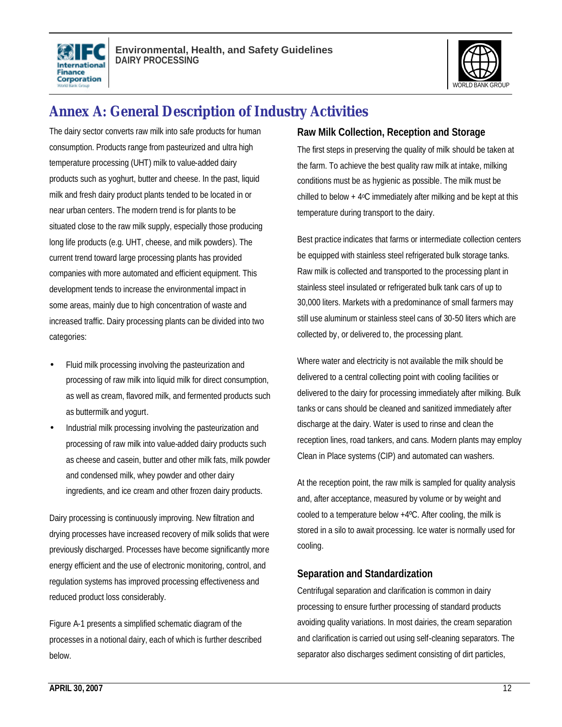



# **Annex A: General Description of Industry Activities**

The dairy sector converts raw milk into safe products for human consumption. Products range from pasteurized and ultra high temperature processing (UHT) milk to value-added dairy products such as yoghurt, butter and cheese. In the past, liquid milk and fresh dairy product plants tended to be located in or near urban centers. The modern trend is for plants to be situated close to the raw milk supply, especially those producing long life products (e.g. UHT, cheese, and milk powders). The current trend toward large processing plants has provided companies with more automated and efficient equipment. This development tends to increase the environmental impact in some areas, mainly due to high concentration of waste and increased traffic. Dairy processing plants can be divided into two categories:

- Fluid milk processing involving the pasteurization and processing of raw milk into liquid milk for direct consumption, as well as cream, flavored milk, and fermented products such as buttermilk and yogurt.
- Industrial milk processing involving the pasteurization and processing of raw milk into value-added dairy products such as cheese and casein, butter and other milk fats, milk powder and condensed milk, whey powder and other dairy ingredients, and ice cream and other frozen dairy products.

Dairy processing is continuously improving. New filtration and drying processes have increased recovery of milk solids that were previously discharged. Processes have become significantly more energy efficient and the use of electronic monitoring, control, and regulation systems has improved processing effectiveness and reduced product loss considerably.

Figure A-1 presents a simplified schematic diagram of the processes in a notional dairy, each of which is further described below.

### **Raw Milk Collection, Reception and Storage**

The first steps in preserving the quality of milk should be taken at the farm. To achieve the best quality raw milk at intake, milking conditions must be as hygienic as possible. The milk must be chilled to below  $+4$ <sup>o</sup>C immediately after milking and be kept at this temperature during transport to the dairy.

Best practice indicates that farms or intermediate collection centers be equipped with stainless steel refrigerated bulk storage tanks. Raw milk is collected and transported to the processing plant in stainless steel insulated or refrigerated bulk tank cars of up to 30,000 liters. Markets with a predominance of small farmers may still use aluminum or stainless steel cans of 30-50 liters which are collected by, or delivered to, the processing plant.

Where water and electricity is not available the milk should be delivered to a central collecting point with cooling facilities or delivered to the dairy for processing immediately after milking. Bulk tanks or cans should be cleaned and sanitized immediately after discharge at the dairy. Water is used to rinse and clean the reception lines, road tankers, and cans. Modern plants may employ Clean in Place systems (CIP) and automated can washers.

At the reception point, the raw milk is sampled for quality analysis and, after acceptance, measured by volume or by weight and cooled to a temperature below +4ºC. After cooling, the milk is stored in a silo to await processing. Ice water is normally used for cooling.

### **Separation and Standardization**

Centrifugal separation and clarification is common in dairy processing to ensure further processing of standard products avoiding quality variations. In most dairies, the cream separation and clarification is carried out using self-cleaning separators. The separator also discharges sediment consisting of dirt particles,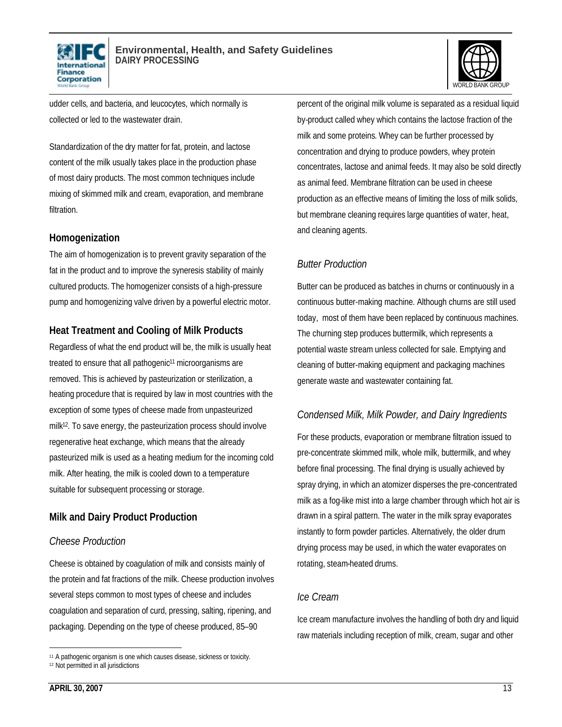



udder cells, and bacteria, and leucocytes, which normally is collected or led to the wastewater drain.

Standardization of the dry matter for fat, protein, and lactose content of the milk usually takes place in the production phase of most dairy products. The most common techniques include mixing of skimmed milk and cream, evaporation, and membrane filtration.

#### **Homogenization**

The aim of homogenization is to prevent gravity separation of the fat in the product and to improve the syneresis stability of mainly cultured products. The homogenizer consists of a high-pressure pump and homogenizing valve driven by a powerful electric motor.

### **Heat Treatment and Cooling of Milk Products**

Regardless of what the end product will be, the milk is usually heat treated to ensure that all pathogenic<sup>11</sup> microorganisms are removed. This is achieved by pasteurization or sterilization, a heating procedure that is required by law in most countries with the exception of some types of cheese made from unpasteurized milk<sup>12</sup>. To save energy, the pasteurization process should involve regenerative heat exchange, which means that the already pasteurized milk is used as a heating medium for the incoming cold milk. After heating, the milk is cooled down to a temperature suitable for subsequent processing or storage.

### **Milk and Dairy Product Production**

#### *Cheese Production*

Cheese is obtained by coagulation of milk and consists mainly of the protein and fat fractions of the milk. Cheese production involves several steps common to most types of cheese and includes coagulation and separation of curd, pressing, salting, ripening, and packaging. Depending on the type of cheese produced, 85–90

percent of the original milk volume is separated as a residual liquid by-product called whey which contains the lactose fraction of the milk and some proteins. Whey can be further processed by concentration and drying to produce powders, whey protein concentrates, lactose and animal feeds. It may also be sold directly as animal feed. Membrane filtration can be used in cheese production as an effective means of limiting the loss of milk solids, but membrane cleaning requires large quantities of water, heat, and cleaning agents.

### *Butter Production*

Butter can be produced as batches in churns or continuously in a continuous butter-making machine. Although churns are still used today, most of them have been replaced by continuous machines. The churning step produces buttermilk, which represents a potential waste stream unless collected for sale. Emptying and cleaning of butter-making equipment and packaging machines generate waste and wastewater containing fat.

### *Condensed Milk, Milk Powder, and Dairy Ingredients*

For these products, evaporation or membrane filtration issued to pre-concentrate skimmed milk, whole milk, buttermilk, and whey before final processing. The final drying is usually achieved by spray drying, in which an atomizer disperses the pre-concentrated milk as a fog-like mist into a large chamber through which hot air is drawn in a spiral pattern. The water in the milk spray evaporates instantly to form powder particles. Alternatively, the older drum drying process may be used, in which the water evaporates on rotating, steam-heated drums.

#### *Ice Cream*

Ice cream manufacture involves the handling of both dry and liquid raw materials including reception of milk, cream, sugar and other

 $\overline{a}$ 

<sup>11</sup> A pathogenic organism is one which causes disease, sickness or toxicity.

<sup>12</sup> Not permitted in all jurisdictions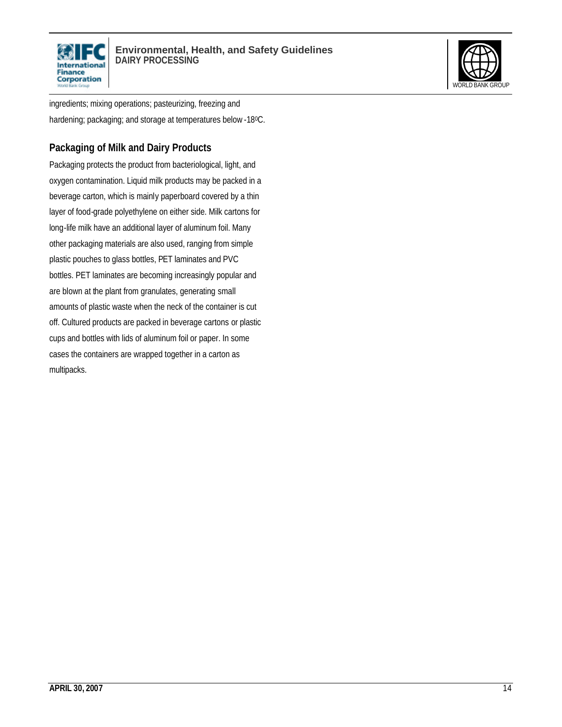



ingredients; mixing operations; pasteurizing, freezing and hardening; packaging; and storage at temperatures below -18ºC.

### **Packaging of Milk and Dairy Products**

Packaging protects the product from bacteriological, light, and oxygen contamination. Liquid milk products may be packed in a beverage carton, which is mainly paperboard covered by a thin layer of food-grade polyethylene on either side. Milk cartons for long-life milk have an additional layer of aluminum foil. Many other packaging materials are also used, ranging from simple plastic pouches to glass bottles, PET laminates and PVC bottles. PET laminates are becoming increasingly popular and are blown at the plant from granulates, generating small amounts of plastic waste when the neck of the container is cut off. Cultured products are packed in beverage cartons or plastic cups and bottles with lids of aluminum foil or paper. In some cases the containers are wrapped together in a carton as multipacks.